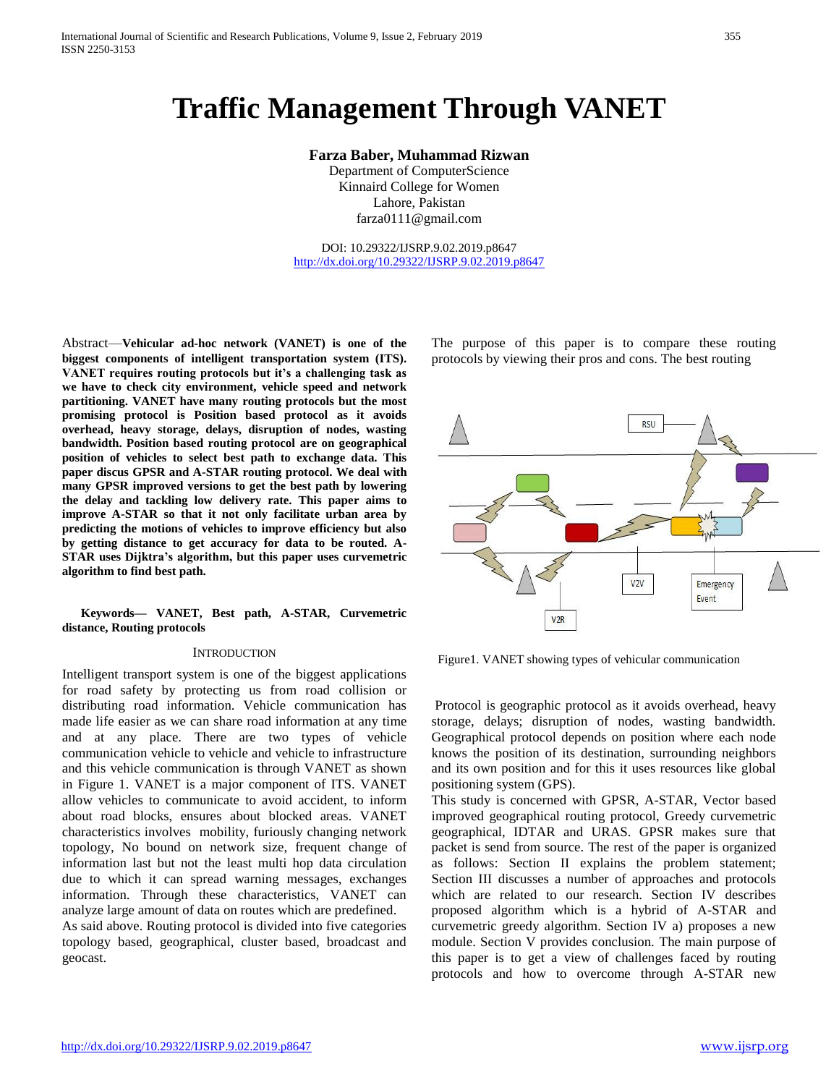# **Traffic Management Through VANET**

**Farza Baber, Muhammad Rizwan**

Department of ComputerScience Kinnaird College for Women Lahore, Pakistan farza0111@gmail.com

DOI: 10.29322/IJSRP.9.02.2019.p8647 <http://dx.doi.org/10.29322/IJSRP.9.02.2019.p8647>

Abstract—**Vehicular ad-hoc network (VANET) is one of the biggest components of intelligent transportation system (ITS). VANET requires routing protocols but it's a challenging task as we have to check city environment, vehicle speed and network partitioning. VANET have many routing protocols but the most promising protocol is Position based protocol as it avoids overhead, heavy storage, delays, disruption of nodes, wasting bandwidth. Position based routing protocol are on geographical position of vehicles to select best path to exchange data. This paper discus GPSR and A-STAR routing protocol. We deal with many GPSR improved versions to get the best path by lowering the delay and tackling low delivery rate. This paper aims to improve A-STAR so that it not only facilitate urban area by predicting the motions of vehicles to improve efficiency but also by getting distance to get accuracy for data to be routed. A-STAR uses Dijktra's algorithm, but this paper uses curvemetric algorithm to find best path.**

#### **Keywords— VANET, Best path, A-STAR, Curvemetric distance, Routing protocols**

#### **INTRODUCTION**

Intelligent transport system is one of the biggest applications for road safety by protecting us from road collision or distributing road information. Vehicle communication has made life easier as we can share road information at any time and at any place. There are two types of vehicle communication vehicle to vehicle and vehicle to infrastructure and this vehicle communication is through VANET as shown in Figure 1. VANET is a major component of ITS. VANET allow vehicles to communicate to avoid accident, to inform about road blocks, ensures about blocked areas. VANET characteristics involves mobility, furiously changing network topology, No bound on network size, frequent change of information last but not the least multi hop data circulation due to which it can spread warning messages, exchanges information. Through these characteristics, VANET can analyze large amount of data on routes which are predefined.

As said above. Routing protocol is divided into five categories topology based, geographical, cluster based, broadcast and geocast.

The purpose of this paper is to compare these routing protocols by viewing their pros and cons. The best routing



Figure1. VANET showing types of vehicular communication

Protocol is geographic protocol as it avoids overhead, heavy storage, delays; disruption of nodes, wasting bandwidth. Geographical protocol depends on position where each node knows the position of its destination, surrounding neighbors and its own position and for this it uses resources like global positioning system (GPS).

This study is concerned with GPSR, A-STAR, Vector based improved geographical routing protocol, Greedy curvemetric geographical, IDTAR and URAS. GPSR makes sure that packet is send from source. The rest of the paper is organized as follows: Section II explains the problem statement; Section III discusses a number of approaches and protocols which are related to our research. Section IV describes proposed algorithm which is a hybrid of A-STAR and curvemetric greedy algorithm. Section IV a) proposes a new module. Section V provides conclusion. The main purpose of this paper is to get a view of challenges faced by routing protocols and how to overcome through A-STAR new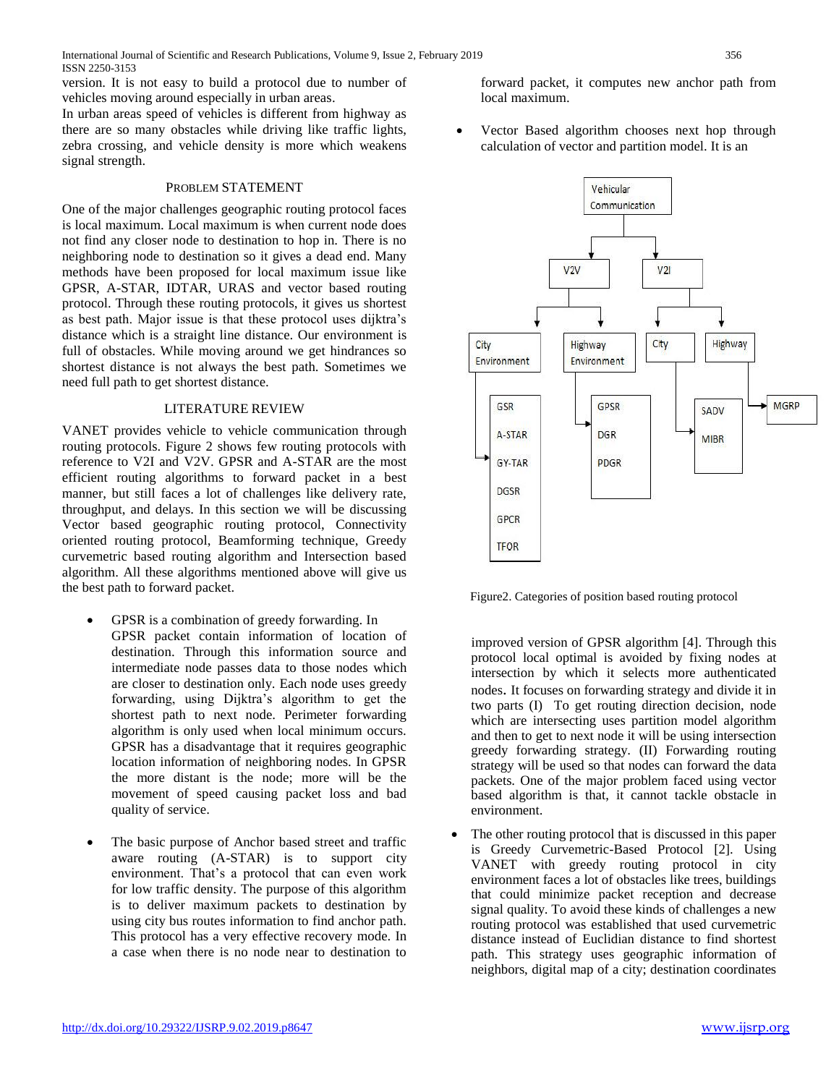version. It is not easy to build a protocol due to number of vehicles moving around especially in urban areas.

In urban areas speed of vehicles is different from highway as there are so many obstacles while driving like traffic lights, zebra crossing, and vehicle density is more which weakens signal strength.

## PROBLEM STATEMENT

One of the major challenges geographic routing protocol faces is local maximum. Local maximum is when current node does not find any closer node to destination to hop in. There is no neighboring node to destination so it gives a dead end. Many methods have been proposed for local maximum issue like GPSR, A-STAR, IDTAR, URAS and vector based routing protocol. Through these routing protocols, it gives us shortest as best path. Major issue is that these protocol uses dijktra's distance which is a straight line distance. Our environment is full of obstacles. While moving around we get hindrances so shortest distance is not always the best path. Sometimes we need full path to get shortest distance.

## LITERATURE REVIEW

VANET provides vehicle to vehicle communication through routing protocols. Figure 2 shows few routing protocols with reference to V2I and V2V. GPSR and A-STAR are the most efficient routing algorithms to forward packet in a best manner, but still faces a lot of challenges like delivery rate, throughput, and delays. In this section we will be discussing Vector based geographic routing protocol, Connectivity oriented routing protocol, Beamforming technique, Greedy curvemetric based routing algorithm and Intersection based algorithm. All these algorithms mentioned above will give us the best path to forward packet.

- GPSR is a combination of greedy forwarding. In GPSR packet contain information of location of destination. Through this information source and intermediate node passes data to those nodes which are closer to destination only. Each node uses greedy forwarding, using Dijktra's algorithm to get the shortest path to next node. Perimeter forwarding algorithm is only used when local minimum occurs. GPSR has a disadvantage that it requires geographic location information of neighboring nodes. In GPSR the more distant is the node; more will be the movement of speed causing packet loss and bad quality of service.
- The basic purpose of Anchor based street and traffic aware routing (A-STAR) is to support city environment. That's a protocol that can even work for low traffic density. The purpose of this algorithm is to deliver maximum packets to destination by using city bus routes information to find anchor path. This protocol has a very effective recovery mode. In a case when there is no node near to destination to

forward packet, it computes new anchor path from local maximum.

 Vector Based algorithm chooses next hop through calculation of vector and partition model. It is an



Figure2. Categories of position based routing protocol

 improved version of GPSR algorithm [4]. Through this protocol local optimal is avoided by fixing nodes at intersection by which it selects more authenticated nodes. It focuses on forwarding strategy and divide it in two parts (I) To get routing direction decision, node which are intersecting uses partition model algorithm and then to get to next node it will be using intersection greedy forwarding strategy. (II) Forwarding routing strategy will be used so that nodes can forward the data packets. One of the major problem faced using vector based algorithm is that, it cannot tackle obstacle in environment.

 The other routing protocol that is discussed in this paper is Greedy Curvemetric-Based Protocol [2]. Using VANET with greedy routing protocol in city environment faces a lot of obstacles like trees, buildings that could minimize packet reception and decrease signal quality. To avoid these kinds of challenges a new routing protocol was established that used curvemetric distance instead of Euclidian distance to find shortest path. This strategy uses geographic information of neighbors, digital map of a city; destination coordinates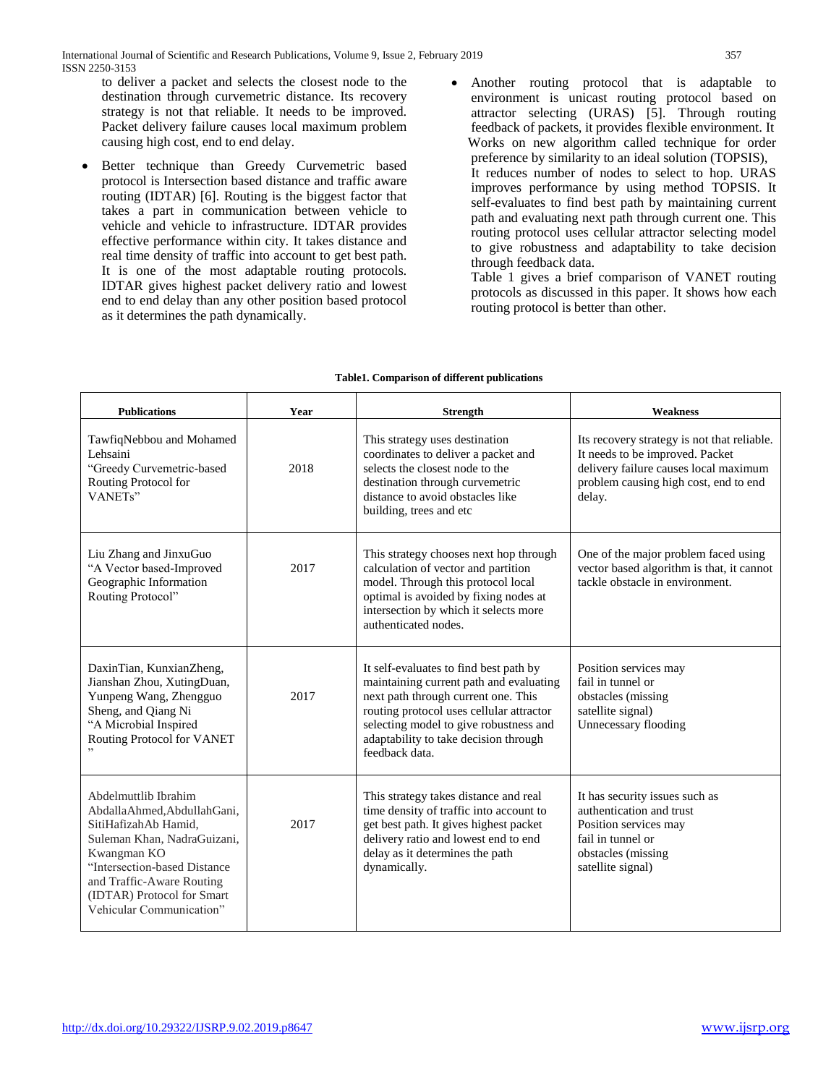to deliver a packet and selects the closest node to the destination through curvemetric distance. Its recovery strategy is not that reliable. It needs to be improved. Packet delivery failure causes local maximum problem causing high cost, end to end delay.

- Better technique than Greedy Curvemetric based protocol is Intersection based distance and traffic aware routing (IDTAR) [6]. Routing is the biggest factor that takes a part in communication between vehicle to vehicle and vehicle to infrastructure. IDTAR provides effective performance within city. It takes distance and real time density of traffic into account to get best path. It is one of the most adaptable routing protocols. IDTAR gives highest packet delivery ratio and lowest end to end delay than any other position based protocol as it determines the path dynamically.
- Another routing protocol that is adaptable to environment is unicast routing protocol based on attractor selecting (URAS) [5]. Through routing feedback of packets, it provides flexible environment. It Works on new algorithm called technique for order preference by similarity to an ideal solution (TOPSIS), It reduces number of nodes to select to hop. URAS improves performance by using method TOPSIS. It self-evaluates to find best path by maintaining current path and evaluating next path through current one. This routing protocol uses cellular attractor selecting model to give robustness and adaptability to take decision through feedback data.

Table 1 gives a brief comparison of VANET routing protocols as discussed in this paper. It shows how each routing protocol is better than other.

| <b>Publications</b>                                                                                                                                                                                                                             | Year | <b>Strength</b>                                                                                                                                                                                                                                                           | <b>Weakness</b>                                                                                                                                                            |
|-------------------------------------------------------------------------------------------------------------------------------------------------------------------------------------------------------------------------------------------------|------|---------------------------------------------------------------------------------------------------------------------------------------------------------------------------------------------------------------------------------------------------------------------------|----------------------------------------------------------------------------------------------------------------------------------------------------------------------------|
| TawfiqNebbou and Mohamed<br>Lehsaini<br>"Greedy Curvemetric-based<br>Routing Protocol for<br>VANETs"                                                                                                                                            | 2018 | This strategy uses destination<br>coordinates to deliver a packet and<br>selects the closest node to the<br>destination through curvemetric<br>distance to avoid obstacles like<br>building, trees and etc                                                                | Its recovery strategy is not that reliable.<br>It needs to be improved. Packet<br>delivery failure causes local maximum<br>problem causing high cost, end to end<br>delay. |
| Liu Zhang and JinxuGuo<br>"A Vector based-Improved<br>Geographic Information<br>Routing Protocol"                                                                                                                                               | 2017 | This strategy chooses next hop through<br>calculation of vector and partition<br>model. Through this protocol local<br>optimal is avoided by fixing nodes at<br>intersection by which it selects more<br>authenticated nodes.                                             | One of the major problem faced using<br>vector based algorithm is that, it cannot<br>tackle obstacle in environment.                                                       |
| DaxinTian, KunxianZheng,<br>Jianshan Zhou, XutingDuan,<br>Yunpeng Wang, Zhengguo<br>Sheng, and Qiang Ni<br>"A Microbial Inspired<br>Routing Protocol for VANET<br>, 2                                                                           | 2017 | It self-evaluates to find best path by<br>maintaining current path and evaluating<br>next path through current one. This<br>routing protocol uses cellular attractor<br>selecting model to give robustness and<br>adaptability to take decision through<br>feedback data. | Position services may<br>fail in tunnel or<br>obstacles (missing<br>satellite signal)<br>Unnecessary flooding                                                              |
| Abdelmuttlib Ibrahim<br>AbdallaAhmed,AbdullahGani,<br>SitiHafizahAb Hamid.<br>Suleman Khan, NadraGuizani,<br>Kwangman KO<br>"Intersection-based Distance<br>and Traffic-Aware Routing<br>(IDTAR) Protocol for Smart<br>Vehicular Communication" | 2017 | This strategy takes distance and real<br>time density of traffic into account to<br>get best path. It gives highest packet<br>delivery ratio and lowest end to end<br>delay as it determines the path<br>dynamically.                                                     | It has security issues such as<br>authentication and trust<br>Position services may<br>fail in tunnel or<br>obstacles (missing<br>satellite signal)                        |

## **Table1. Comparison of different publications**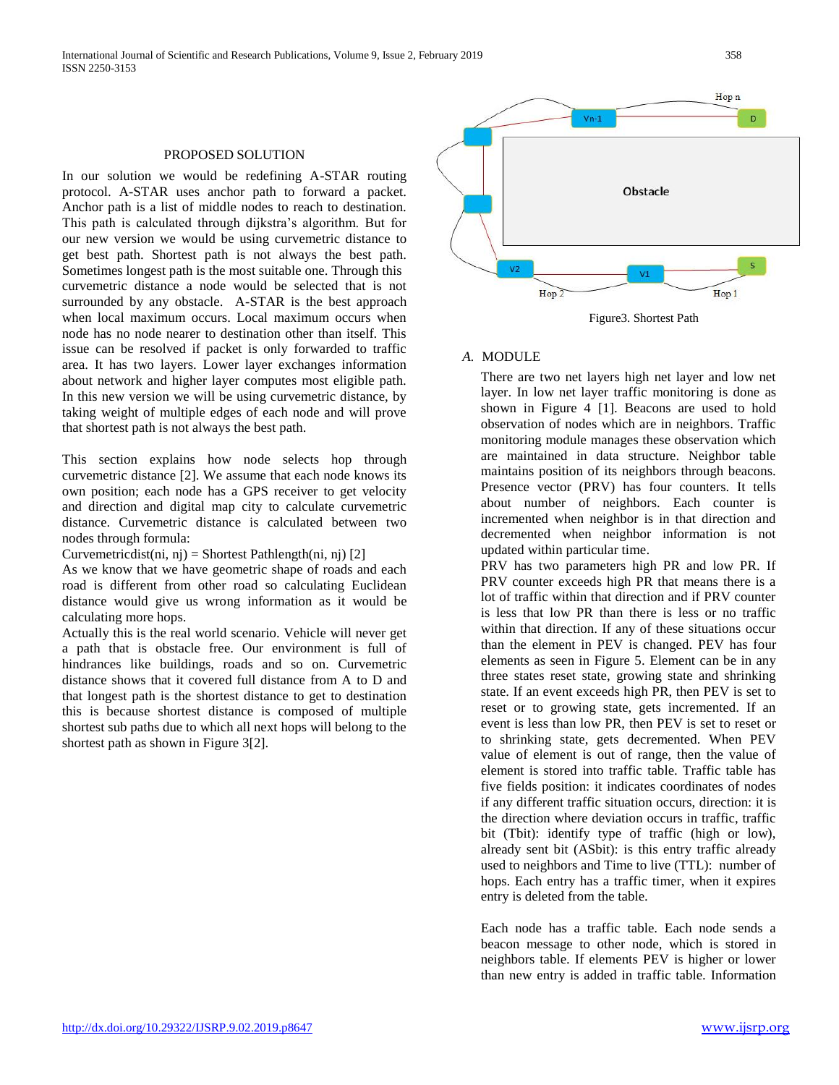#### PROPOSED SOLUTION

In our solution we would be redefining A-STAR routing protocol. A-STAR uses anchor path to forward a packet. Anchor path is a list of middle nodes to reach to destination. This path is calculated through dijkstra's algorithm. But for our new version we would be using curvemetric distance to get best path. Shortest path is not always the best path. Sometimes longest path is the most suitable one. Through this curvemetric distance a node would be selected that is not surrounded by any obstacle. A-STAR is the best approach when local maximum occurs. Local maximum occurs when node has no node nearer to destination other than itself. This issue can be resolved if packet is only forwarded to traffic area. It has two layers. Lower layer exchanges information about network and higher layer computes most eligible path. In this new version we will be using curvemetric distance, by taking weight of multiple edges of each node and will prove that shortest path is not always the best path.

This section explains how node selects hop through curvemetric distance [2]. We assume that each node knows its own position; each node has a GPS receiver to get velocity and direction and digital map city to calculate curvemetric distance. Curvemetric distance is calculated between two nodes through formula:

Curvemetricdist(ni, nj) = Shortest Pathlength(ni, nj) [2]

As we know that we have geometric shape of roads and each road is different from other road so calculating Euclidean distance would give us wrong information as it would be calculating more hops.

Actually this is the real world scenario. Vehicle will never get a path that is obstacle free. Our environment is full of hindrances like buildings, roads and so on. Curvemetric distance shows that it covered full distance from A to D and that longest path is the shortest distance to get to destination this is because shortest distance is composed of multiple shortest sub paths due to which all next hops will belong to the shortest path as shown in Figure 3[2].



### *A.* MODULE

There are two net layers high net layer and low net layer. In low net layer traffic monitoring is done as shown in Figure 4 [1]. Beacons are used to hold observation of nodes which are in neighbors. Traffic monitoring module manages these observation which are maintained in data structure. Neighbor table maintains position of its neighbors through beacons. Presence vector (PRV) has four counters. It tells about number of neighbors. Each counter is incremented when neighbor is in that direction and decremented when neighbor information is not updated within particular time.

PRV has two parameters high PR and low PR. If PRV counter exceeds high PR that means there is a lot of traffic within that direction and if PRV counter is less that low PR than there is less or no traffic within that direction. If any of these situations occur than the element in PEV is changed. PEV has four elements as seen in Figure 5. Element can be in any three states reset state, growing state and shrinking state. If an event exceeds high PR, then PEV is set to reset or to growing state, gets incremented. If an event is less than low PR, then PEV is set to reset or to shrinking state, gets decremented. When PEV value of element is out of range, then the value of element is stored into traffic table. Traffic table has five fields position: it indicates coordinates of nodes if any different traffic situation occurs, direction: it is the direction where deviation occurs in traffic, traffic bit (Tbit): identify type of traffic (high or low), already sent bit (ASbit): is this entry traffic already used to neighbors and Time to live (TTL): number of hops. Each entry has a traffic timer, when it expires entry is deleted from the table.

Each node has a traffic table. Each node sends a beacon message to other node, which is stored in neighbors table. If elements PEV is higher or lower than new entry is added in traffic table. Information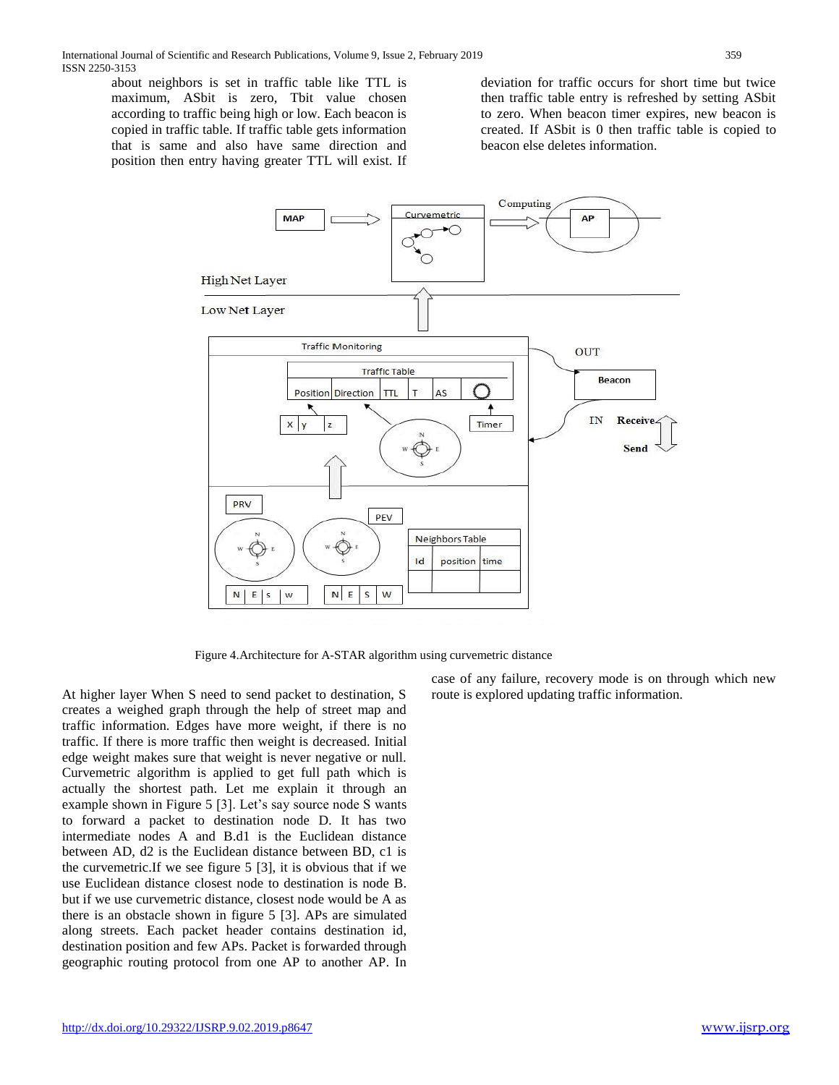about neighbors is set in traffic table like TTL is maximum, ASbit is zero, Tbit value chosen according to traffic being high or low. Each beacon is copied in traffic table. If traffic table gets information that is same and also have same direction and position then entry having greater TTL will exist. If

deviation for traffic occurs for short time but twice then traffic table entry is refreshed by setting ASbit to zero. When beacon timer expires, new beacon is created. If ASbit is 0 then traffic table is copied to beacon else deletes information.



Figure 4.Architecture for A-STAR algorithm using curvemetric distance

At higher layer When S need to send packet to destination, S creates a weighed graph through the help of street map and traffic information. Edges have more weight, if there is no traffic. If there is more traffic then weight is decreased. Initial edge weight makes sure that weight is never negative or null. Curvemetric algorithm is applied to get full path which is actually the shortest path. Let me explain it through an example shown in Figure 5 [3]. Let's say source node S wants to forward a packet to destination node D. It has two intermediate nodes A and B.d1 is the Euclidean distance between AD, d2 is the Euclidean distance between BD, c1 is the curvemetric.If we see figure 5 [3], it is obvious that if we use Euclidean distance closest node to destination is node B. but if we use curvemetric distance, closest node would be A as there is an obstacle shown in figure 5 [3]. APs are simulated along streets. Each packet header contains destination id, destination position and few APs. Packet is forwarded through geographic routing protocol from one AP to another AP. In

case of any failure, recovery mode is on through which new route is explored updating traffic information.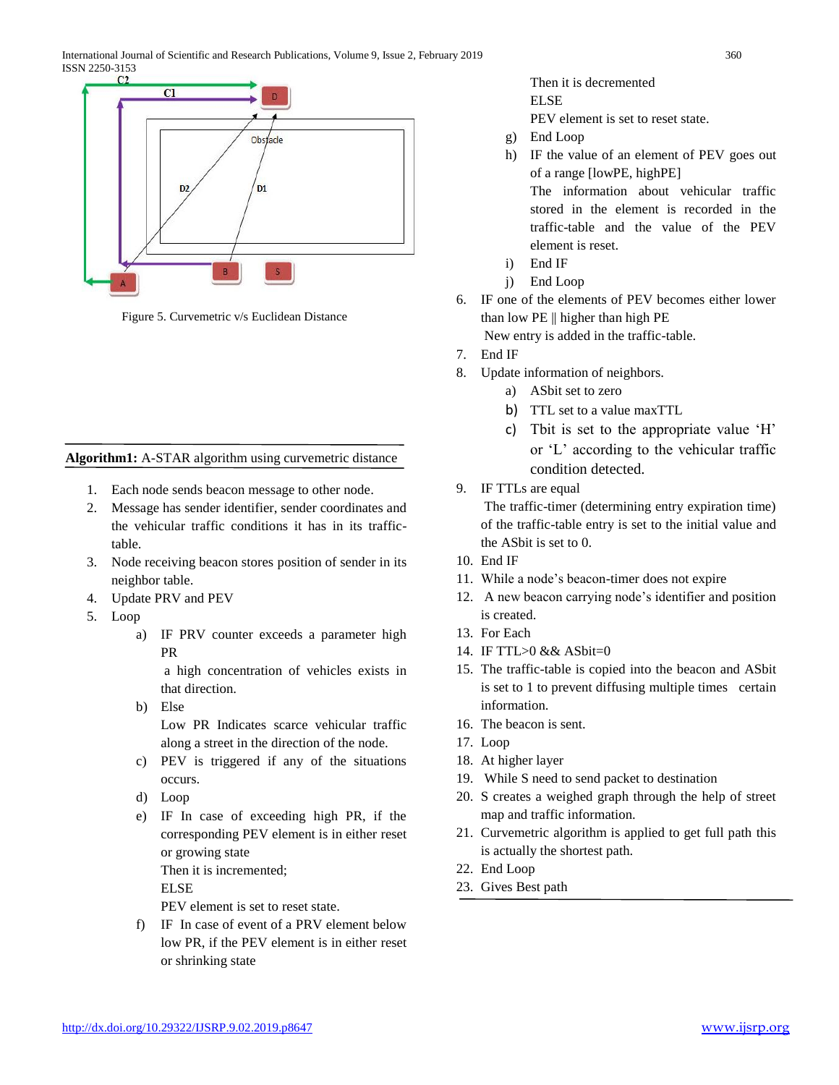

Figure 5. Curvemetric v/s Euclidean Distance

**Algorithm1:** A-STAR algorithm using curvemetric distance

- 1. Each node sends beacon message to other node.
- 2. Message has sender identifier, sender coordinates and the vehicular traffic conditions it has in its traffictable.
- 3. Node receiving beacon stores position of sender in its neighbor table.
- 4. Update PRV and PEV
- 5. Loop
	- a) IF PRV counter exceeds a parameter high PR

a high concentration of vehicles exists in that direction.

- b) Else Low PR Indicates scarce vehicular traffic along a street in the direction of the node.
- c) PEV is triggered if any of the situations occurs.
- d) Loop
- e) IF In case of exceeding high PR, if the corresponding PEV element is in either reset or growing state

Then it is incremented;

ELSE

PEV element is set to reset state.

f) IF In case of event of a PRV element below low PR, if the PEV element is in either reset or shrinking state

Then it is decremented ELSE

PEV element is set to reset state.

- g) End Loop
- h) IF the value of an element of PEV goes out of a range [lowPE, highPE]

The information about vehicular traffic stored in the element is recorded in the traffic-table and the value of the PEV element is reset.

- i) End IF
- j) End Loop
- 6. IF one of the elements of PEV becomes either lower than low PE || higher than high PE

New entry is added in the traffic-table.

- 7. End IF
- 8. Update information of neighbors.
	- a) ASbit set to zero
	- b) TTL set to a value maxTTL
	- c) Tbit is set to the appropriate value 'H' or 'L' according to the vehicular traffic condition detected.
- 9. IF TTLs are equal

The traffic-timer (determining entry expiration time) of the traffic-table entry is set to the initial value and the ASbit is set to 0.

- 10. End IF
- 11. While a node's beacon-timer does not expire
- 12. A new beacon carrying node's identifier and position is created.
- 13. For Each
- 14. IF TTL>0 && ASbit=0
- 15. The traffic-table is copied into the beacon and ASbit is set to 1 to prevent diffusing multiple times certain information.
- 16. The beacon is sent.
- 17. Loop
- 18. At higher layer
- 19. While S need to send packet to destination
- 20. S creates a weighed graph through the help of street map and traffic information.
- 21. Curvemetric algorithm is applied to get full path this is actually the shortest path.
- 22. End Loop
- 23. Gives Best path